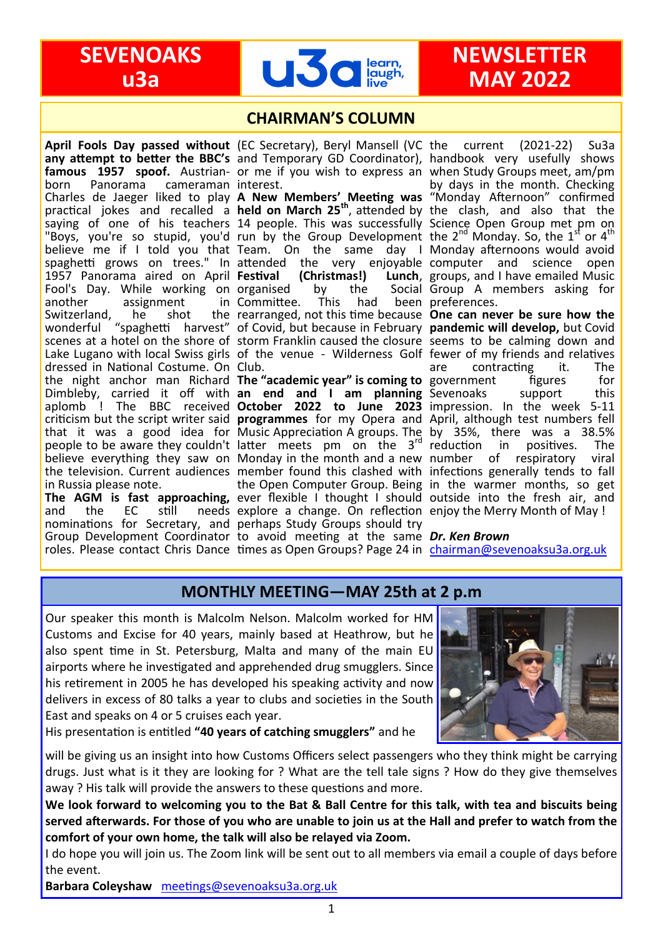

## **CHAIRMAN'S COLUMN**

any attempt to better the BBC's and Temporary GD Coordinator), handbook very usefully shows famous 1957 spoof. Austrian- or me if you wish to express an when Study Groups meet, am/pm born Panorama cameraman Charles de Jaeger liked to play practical jokes and recalled a saying of one of his teachers "Boys, you're so stupid, you'd believe me if I told you that spaghetti grows on trees." In attended the very enjoyable computer and science open 1957 Panorama aired on April Festival Fool's Day. While working on organised by the Social another assignment in Switzerland, he shot the wonderful "spaghetti harvest" scenes at a hotel on the shore of Lake Lugano with local Swiss girls of the venue - Wilderness Golf fewer of my friends and relatives dressed in National Costume. On Club. the night anchor man Richard **The "academic year" is coming to** government infigures if for Dimbleby, carried it off with aplomb ! The BBC received criticism but the script writer said **programmes** for my Opera and April, although test numbers fell that it was a good idea for people to be aware they couldn't believe everything they saw on Monday in the month and a new number of respiratory viral the television. Current audiences member found this clashed with infections generally tends to fall in Russia please note. cameraman interest.

The AGM is fast approaching, ever flexible I thought I should outside into the fresh air, and and the EC still needs explore a change. On reflection enjoy the Merry Month of May! nominations for Secretary, and perhaps Study Groups should try Group Development Coordinator to avoid meeting at the same *Dr. Ken Brown*  roles. Please contact Chris Dance times as Open Groups? Page 24 in [chairman@sevenoaksu3a.org.uk](mailto:chairman@sevenoaksu3a.org.uk)

**April Fools Day passed without**  (EC Secretary), Beryl Mansell (VC

**A New Members' Meeting was held on March 25th**, attended by 14 people. This was successfully run by the Group Development Team. On the same day I **(Christmas!)**<br>by the Committee. This had been rearranged, not this time because of Covid, but because in February storm Franklin caused the closure

**an end and I am planning October 2022 to June 2023** Music Appreciation A groups. The latter meets pm on the 3rd

current (2021-22) Su3a by days in the month. Checking "Monday Afternoon" confirmed the clash, and also that the Science Open Group met pm on the  $2^{nd}$  Monday. So, the  $1^{st}$  or  $4^{th}$ Monday afternoons would avoid Lunch, groups, and I have emailed Music Social Group A members asking for been preferences.

the Open Computer Group. Being in the warmer months, so get **One can never be sure how the pandemic will develop,** but Covid seems to be calming down and are contracting it. The Sevenoaks support this impression. In the week 5-11 by 35%, there was a 38.5% reduction in positives. The

# **MONTHLY MEETING—MAY 25th at 2 p.m**

Our speaker this month is Malcolm Nelson. Malcolm worked for HM Customs and Excise for 40 years, mainly based at Heathrow, but he also spent time in St. Petersburg, Malta and many of the main EU airports where he investigated and apprehended drug smugglers. Since his retirement in 2005 he has developed his speaking activity and now delivers in excess of 80 talks a year to clubs and societies in the South East and speaks on 4 or 5 cruises each year.



His presentation is entitled **"40 years of catching smugglers"** and he

will be giving us an insight into how Customs Officers select passengers who they think might be carrying drugs. Just what is it they are looking for ? What are the tell tale signs ? How do they give themselves away ? His talk will provide the answers to these questions and more.

**We look forward to welcoming you to the Bat & Ball Centre for this talk, with tea and biscuits being served afterwards. For those of you who are unable to join us at the Hall and prefer to watch from the comfort of your own home, the talk will also be relayed via Zoom.**

I do hope you will join us. The Zoom link will be sent out to all members via email a couple of days before the event.

**Barbara Coleyshaw** [meetings@sevenoaksu3a.org.uk](mailto:meetings@sevenoaksu3a.org.uk)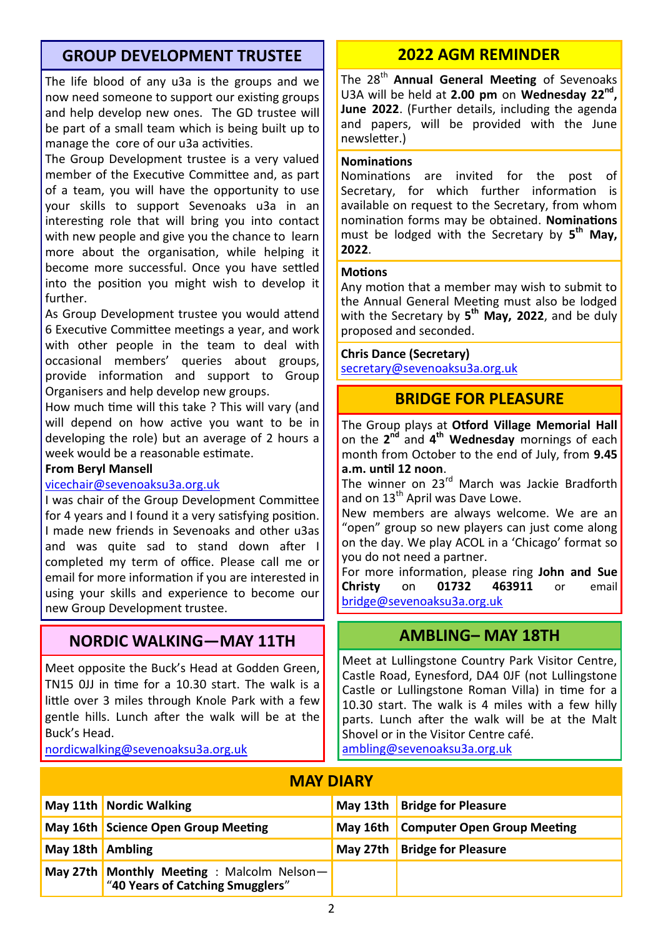# **GROUP DEVELOPMENT TRUSTEE**

The life blood of any u3a is the groups and we now need someone to support our existing groups and help develop new ones. The GD trustee will be part of a small team which is being built up to manage the core of our u3a activities.

The Group Development trustee is a very valued member of the Executive Committee and, as part of a team, you will have the opportunity to use your skills to support Sevenoaks u3a in an interesting role that will bring you into contact with new people and give you the chance to learn more about the organisation, while helping it become more successful. Once you have settled into the position you might wish to develop it further.

As Group Development trustee you would attend 6 Executive Committee meetings a year, and work with other people in the team to deal with occasional members' queries about groups, provide information and support to Group Organisers and help develop new groups.

How much time will this take ? This will vary (and will depend on how active you want to be in developing the role) but an average of 2 hours a week would be a reasonable estimate.

#### **From Beryl Mansell**

#### [vicechair@sevenoaksu3a.org.uk](mailto:vicechair@sevenoaksu3a.org.uk)

I was chair of the Group Development Committee for 4 years and I found it a very satisfying position. I made new friends in Sevenoaks and other u3as and was quite sad to stand down after I completed my term of office. Please call me or email for more information if you are interested in using your skills and experience to become our new Group Development trustee.

# **NORDIC WALKING—MAY 11TH**

Meet opposite the Buck's Head at Godden Green, TN15 0JJ in time for a 10.30 start. The walk is a little over 3 miles through Knole Park with a few gentle hills. Lunch after the walk will be at the Buck's Head.

[nordicwalking@sevenoaksu3a.org.uk](mailto:nordicwalking@sevenoaksu3a.org.uk)

# **2022 AGM REMINDER**

The 28th **Annual General Meeting** of Sevenoaks U3A will be held at **2.00 pm** on **Wednesday 22nd , June 2022**. (Further details, including the agenda and papers, will be provided with the June newsletter.)

#### **Nominations**

Nominations are invited for the post of Secretary, for which further information is available on request to the Secretary, from whom nomination forms may be obtained. **Nominations** must be lodged with the Secretary by 5<sup>th</sup> May, **2022**.

#### **Motions**

Any motion that a member may wish to submit to the Annual General Meeting must also be lodged with the Secretary by **5 th May, 2022**, and be duly proposed and seconded.

#### **Chris Dance (Secretary)**

[secretary@sevenoaksu3a.org.uk](mailto:secretary@sevenoaksu3a.org.uk)

# **BRIDGE FOR PLEASURE**

The Group plays at **Otford Village Memorial Hall**  on the 2<sup>nd</sup> and 4<sup>th</sup> Wednesday mornings of each month from October to the end of July, from **9.45 a.m. until 12 noon**.

The winner on 23<sup>rd</sup> March was Jackie Bradforth and on 13<sup>th</sup> April was Dave Lowe.

New members are always welcome. We are an "open" group so new players can just come along on the day. We play ACOL in a 'Chicago' format so you do not need a partner.

For more information, please ring **John and Sue Christy** on **01732 463911** or email [bridge@sevenoaksu3a.org.uk](mailto:bridge@sevenoaksu3a.org.uk)

### **AMBLING– MAY 18TH**

Meet at Lullingstone Country Park Visitor Centre, Castle Road, Eynesford, DA4 0JF (not Lullingstone Castle or Lullingstone Roman Villa) in time for a 10.30 start. The walk is 4 miles with a few hilly parts. Lunch after the walk will be at the Malt Shovel or in the Visitor Centre café.

[ambling@sevenoaksu3a.org.uk](mailto:ambling@sevenoaksu3a.org.uk)

| <b>MAY DIARY</b> |                                           |          |                                    |  |  |
|------------------|-------------------------------------------|----------|------------------------------------|--|--|
|                  | May 11th   Nordic Walking                 |          | May 13th   Bridge for Pleasure     |  |  |
|                  | May 16th Science Open Group Meeting       | May 16th | <b>Computer Open Group Meeting</b> |  |  |
| May 18th Ambling |                                           | May 27th | <b>Bridge for Pleasure</b>         |  |  |
|                  | May 27th Monthly Meeting: Malcolm Nelson- |          |                                    |  |  |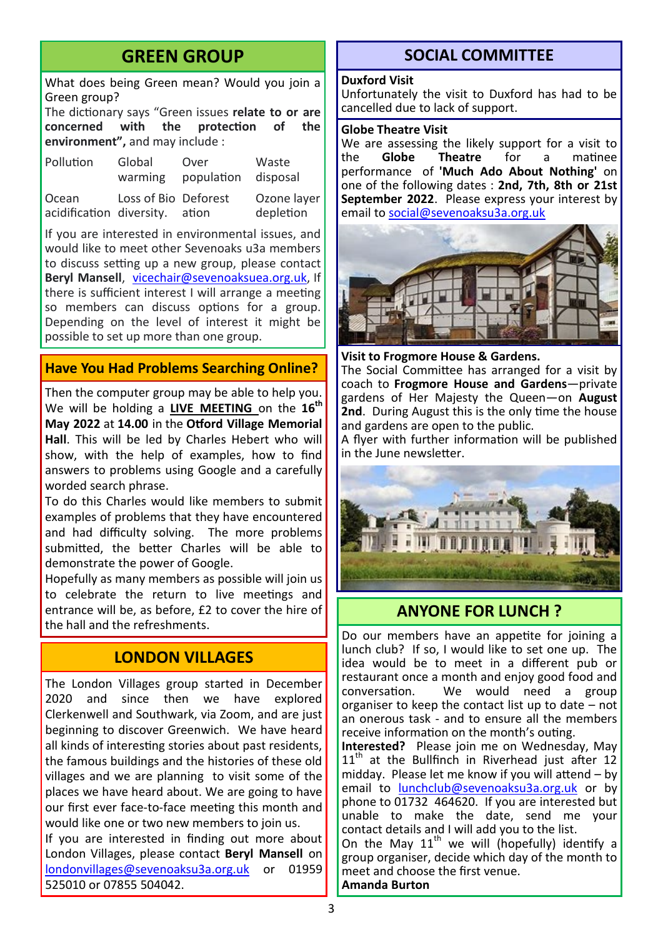# **GREEN GROUP**

What does being Green mean? Would you join a Green group?

The dictionary says "Green issues **relate to or are concerned with the protection of the environment",** and may include :

| Pollution                               | Global               | Over       | Waste                    |
|-----------------------------------------|----------------------|------------|--------------------------|
|                                         | warming              | population | disposal                 |
| Ocean<br>acidification diversity. ation | Loss of Bio Deforest |            | Ozone layer<br>depletion |

If you are interested in environmental issues, and would like to meet other Sevenoaks u3a members to discuss setting up a new group, please contact **Beryl Mansell**, [vicechair@sevenoaksuea.org.uk,](mailto:vicechair@sevenoaksuea.org.uk) If there is sufficient interest I will arrange a meeting so members can discuss options for a group. Depending on the level of interest it might be possible to set up more than one group.

#### **Have You Had Problems Searching Online?**

Then the computer group may be able to help you. We will be holding a **LIVE MEETING** on the **16th May 2022** at **14.00** in the **Otford Village Memorial Hall**. This will be led by Charles Hebert who will show, with the help of examples, how to find answers to problems using Google and a carefully worded search phrase.

To do this Charles would like members to submit examples of problems that they have encountered and had difficulty solving. The more problems submitted, the better Charles will be able to demonstrate the power of Google.

Hopefully as many members as possible will join us to celebrate the return to live meetings and entrance will be, as before, £2 to cover the hire of the hall and the refreshments.

# **LONDON VILLAGES**

The London Villages group started in December 2020 and since then we have explored Clerkenwell and Southwark, via Zoom, and are just beginning to discover Greenwich. We have heard all kinds of interesting stories about past residents, the famous buildings and the histories of these old villages and we are planning to visit some of the places we have heard about. We are going to have our first ever face-to-face meeting this month and would like one or two new members to join us.

If you are interested in finding out more about London Villages, please contact **Beryl Mansell** on [londonvillages@sevenoaksu3a.org.uk](mailto:londonvillages@sevenoaksu3a.org.uk) or 01959 525010 or 07855 504042.

# **SOCIAL COMMITTEE**

#### **Duxford Visit**

Unfortunately the visit to Duxford has had to be cancelled due to lack of support.

#### **Globe Theatre Visit**

We are assessing the likely support for a visit to<br>the **Globe Theatre** for a matinee **Theatre** for a performance of **'Much Ado About Nothing'** on one of the following dates : **2nd, 7th, 8th or 21st September 2022**. Please express your interest by email to [social@sevenoaksu3a.org.uk](mailto:social@sevenoaksu3a.org.uk)



**Visit to Frogmore House & Gardens.** The Social Committee has arranged for a visit by coach to **Frogmore House and Gardens**—private gardens of Her Majesty the Queen—on **August 2nd**. During August this is the only time the house and gardens are open to the public.

A flyer with further information will be published in the June newsletter.



# **ANYONE FOR LUNCH ?**

Do our members have an appetite for joining a lunch club? If so, I would like to set one up. The idea would be to meet in a different pub or restaurant once a month and enjoy good food and conversation. We would need a group organiser to keep the contact list up to date – not an onerous task - and to ensure all the members receive information on the month's outing.

**Interested?** Please join me on Wednesday, May  $11<sup>th</sup>$  at the Bullfinch in Riverhead just after 12 midday. Please let me know if you will attend – by email to [lunchclub@sevenoaksu3a.org.uk](mailto:lunchclub@sevenoaksu3a.org.uk) or by phone to 01732 464620. If you are interested but unable to make the date, send me your contact details and I will add you to the list.

On the May  $11<sup>th</sup>$  we will (hopefully) identify a group organiser, decide which day of the month to meet and choose the first venue. **Amanda Burton**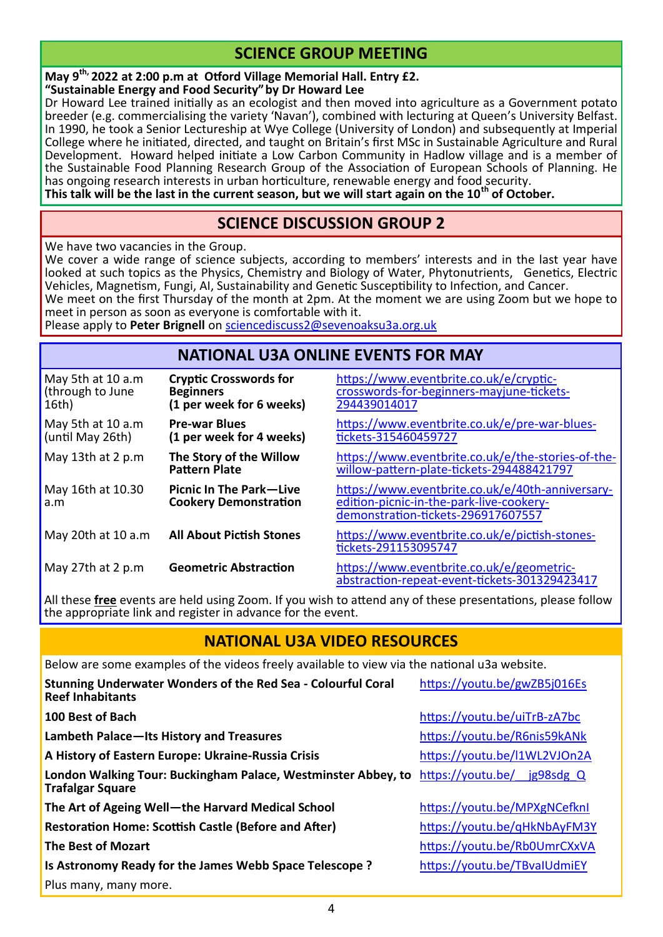# **SCIENCE GROUP MEETING**

**May 9th, 2022 at 2:00 p.m at Otford Village Memorial Hall. Entry £2. "Sustainable Energy and Food Security"by Dr Howard Lee**

Dr Howard Lee trained initially as an ecologist and then moved into agriculture as a Government potato breeder (e.g. commercialising the variety 'Navan'), combined with lecturing at Queen's University Belfast. In 1990, he took a Senior Lectureship at Wye College (University of London) and subsequently at Imperial College where he initiated, directed, and taught on Britain's first MSc in Sustainable Agriculture and Rural Development. Howard helped initiate a Low Carbon Community in Hadlow village and is a member of the Sustainable Food Planning Research Group of the Association of European Schools of Planning. He has ongoing research interests in urban horticulture, renewable energy and food security.

**This talk will be the last in the current season, but we will start again on the 10th of October.** 

## **SCIENCE DISCUSSION GROUP 2**

We have two vacancies in the Group.

We cover a wide range of science subjects, according to members' interests and in the last year have looked at such topics as the Physics, Chemistry and Biology of Water, Phytonutrients, Genetics, Electric Vehicles, Magnetism, Fungi, AI, Sustainability and Genetic Susceptibility to Infection, and Cancer.

We meet on the first Thursday of the month at 2pm. At the moment we are using Zoom but we hope to meet in person as soon as everyone is comfortable with it.

Please apply to **Peter Brignell** on [sciencediscuss2@sevenoaksu3a.org.uk](mailto:sciencediscuss2@sevenoaksu3a.org.uk)

#### **NATIONAL U3A ONLINE EVENTS FOR MAY**

| May 5th at 10 a.m<br>(through to June<br>16th) | <b>Cryptic Crosswords for</b><br><b>Beginners</b><br>(1 per week for 6 weeks) | https://www.eventbrite.co.uk/e/cryptic-<br>crosswords-for-beginners-mayjune-tickets-<br>294439014017                               |
|------------------------------------------------|-------------------------------------------------------------------------------|------------------------------------------------------------------------------------------------------------------------------------|
| May 5th at 10 a.m<br>(until May 26th)          | <b>Pre-war Blues</b><br>(1 per week for 4 weeks)                              | https://www.eventbrite.co.uk/e/pre-war-blues-<br>tickets-315460459727                                                              |
| May 13th at 2 p.m                              | The Story of the Willow<br><b>Pattern Plate</b>                               | https://www.eventbrite.co.uk/e/the-stories-of-the-<br>willow-pattern-plate-tickets-294488421797                                    |
| May 16th at 10.30<br>a.m                       | <b>Picnic In The Park-Live</b><br><b>Cookery Demonstration</b>                | https://www.eventbrite.co.uk/e/40th-anniversary-<br>edition-picnic-in-the-park-live-cookery-<br>demonstration-tickets-296917607557 |
| May 20th at 10 a.m                             | <b>All About Pictish Stones</b>                                               | https://www.eventbrite.co.uk/e/pictish-stones-<br>tickets-291153095747                                                             |
| May 27th at 2 p.m                              | <b>Geometric Abstraction</b>                                                  | https://www.eventbrite.co.uk/e/geometric-<br>abstraction-repeat-event-tickets-301329423417                                         |

All these **free** events are held using Zoom. If you wish to attend any of these presentations, please follow the appropriate link and register in advance for the event.

# **NATIONAL U3A VIDEO RESOURCES**

Below are some examples of the videos freely available to view via the national u3a website.

| Stunning Underwater Wonders of the Red Sea - Colourful Coral<br><b>Reef Inhabitants</b>  | https://youtu.be/gwZB5j016Es  |
|------------------------------------------------------------------------------------------|-------------------------------|
| 100 Best of Bach                                                                         | https://youtu.be/uiTrB-zA7bc  |
| Lambeth Palace-Its History and Treasures                                                 | https://youtu.be/R6nis59kANk  |
| A History of Eastern Europe: Ukraine-Russia Crisis                                       | https://youtu.be/l1WL2VJOn2A  |
| London Walking Tour: Buckingham Palace, Westminster Abbey, to<br><b>Trafalgar Square</b> | https://youtu.be/ jg98sdg $Q$ |
| The Art of Ageing Well-the Harvard Medical School                                        | https://youtu.be/MPXgNCefknI  |
| <b>Restoration Home: Scottish Castle (Before and After)</b>                              | https://youtu.be/qHkNbAyFM3Y  |
| <b>The Best of Mozart</b>                                                                | https://youtu.be/Rb0UmrCXxVA  |
| Is Astronomy Ready for the James Webb Space Telescope ?                                  | https://youtu.be/TBvalUdmiEY  |
| Plus many, many more.                                                                    |                               |